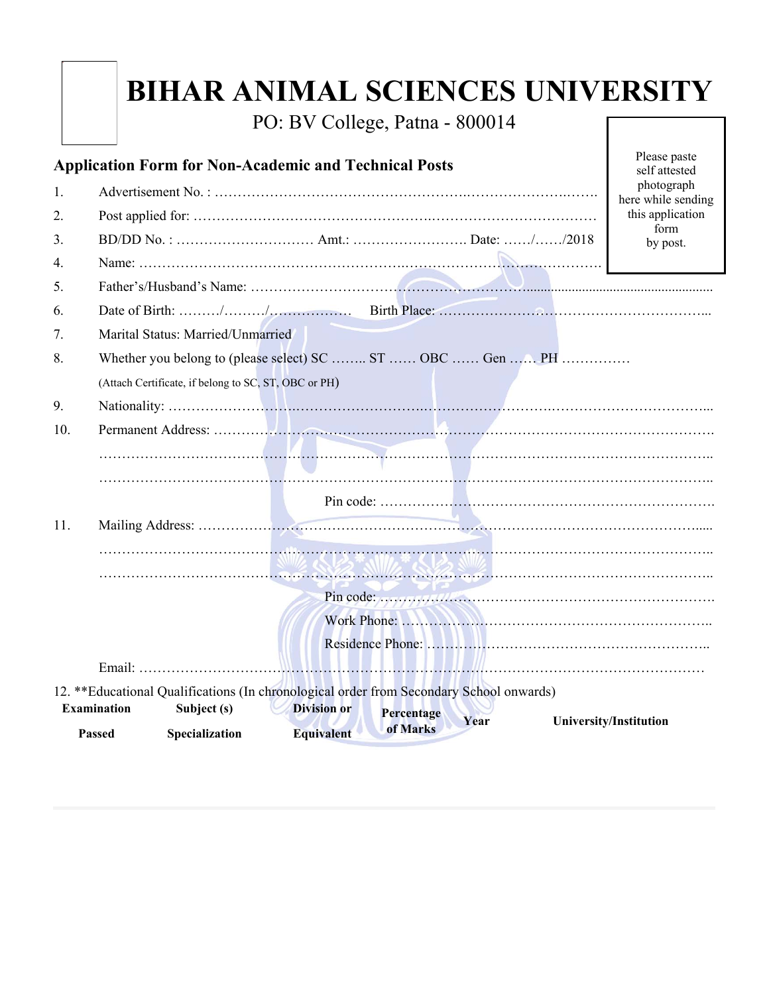PO: BV College, Patna - 800014

| <b>Application Form for Non-Academic and Technical Posts</b>                                                   | Please paste<br>self attested<br>photograph                |                                        |  |  |  |  |  |
|----------------------------------------------------------------------------------------------------------------|------------------------------------------------------------|----------------------------------------|--|--|--|--|--|
| 1.                                                                                                             |                                                            |                                        |  |  |  |  |  |
| 2.                                                                                                             |                                                            | here while sending<br>this application |  |  |  |  |  |
| 3.                                                                                                             | form<br>by post.                                           |                                        |  |  |  |  |  |
| 4.                                                                                                             |                                                            |                                        |  |  |  |  |  |
| 5.                                                                                                             |                                                            |                                        |  |  |  |  |  |
| 6.                                                                                                             |                                                            |                                        |  |  |  |  |  |
| 7.                                                                                                             | Marital Status: Married/Unmarried                          |                                        |  |  |  |  |  |
| 8.                                                                                                             | Whether you belong to (please select) SC  ST  OBC  Gen  PH |                                        |  |  |  |  |  |
|                                                                                                                | (Attach Certificate, if belong to SC, ST, OBC or PH)       |                                        |  |  |  |  |  |
| 9.                                                                                                             |                                                            |                                        |  |  |  |  |  |
| 10.                                                                                                            |                                                            |                                        |  |  |  |  |  |
|                                                                                                                |                                                            |                                        |  |  |  |  |  |
|                                                                                                                |                                                            |                                        |  |  |  |  |  |
|                                                                                                                |                                                            |                                        |  |  |  |  |  |
| 11.                                                                                                            |                                                            |                                        |  |  |  |  |  |
|                                                                                                                |                                                            |                                        |  |  |  |  |  |
|                                                                                                                |                                                            |                                        |  |  |  |  |  |
|                                                                                                                |                                                            | Pin code: $\frac{1}{2}$                |  |  |  |  |  |
|                                                                                                                |                                                            |                                        |  |  |  |  |  |
|                                                                                                                |                                                            |                                        |  |  |  |  |  |
|                                                                                                                |                                                            |                                        |  |  |  |  |  |
| 12. ** Educational Qualifications (In chronological order from Secondary School onwards)                       |                                                            |                                        |  |  |  |  |  |
| <b>Examination</b><br>Subject (s)<br><b>Division or</b><br>Percentage<br>Year<br><b>University/Institution</b> |                                                            |                                        |  |  |  |  |  |
|                                                                                                                | of Marks<br>Passed<br>Specialization<br><b>Equivalent</b>  |                                        |  |  |  |  |  |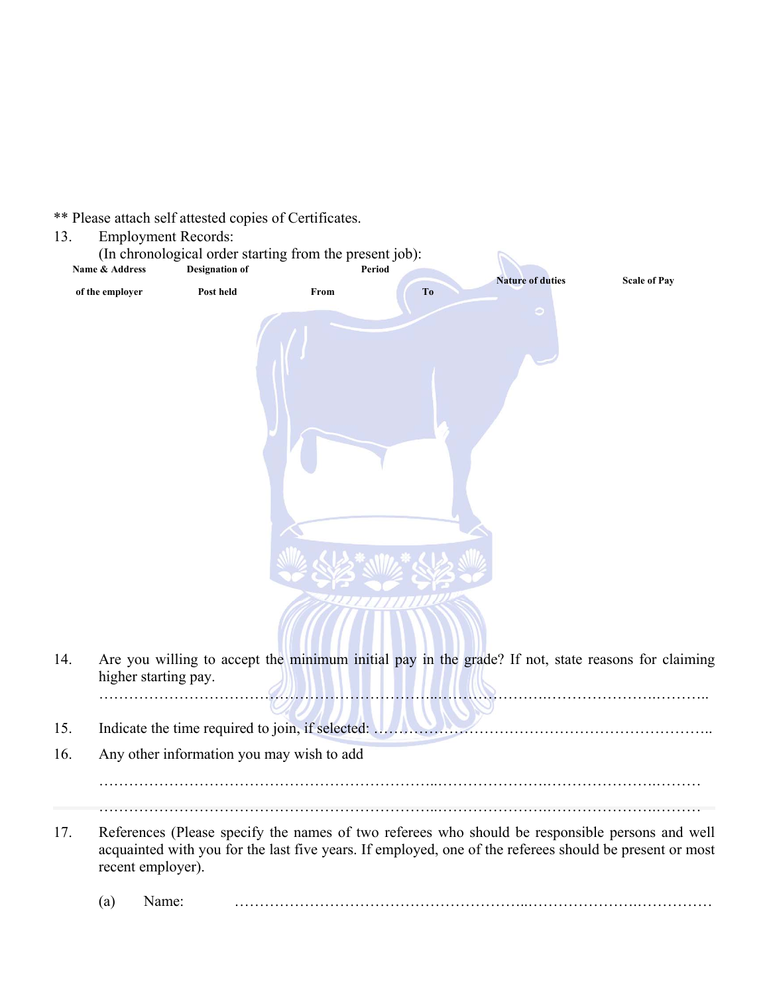\*\* Please attach self attested copies of Certificates.

13. Employment Records: (In chronological order starting from the present job): **Name & Address of the employer Designation of Post held Period Nature of duties Scale of Pay From To**  14. Are you willing to accept the minimum initial pay in the grade? If not, state reasons for claiming higher starting pay. …………………………………………………………..………………….………………….……….. 15. Indicate the time required to join, if selected: **With an automatical contracts** 16. Any other information you may wish to add …………………………………………………………..………………….………………….……… …………………………………………………………..………………….………………….……… 17. References (Please specify the names of two referees who should be responsible persons and well acquainted with you for the last five years. If employed, one of the referees should be present or most recent employer).

(a) Name: …………………………………………………..………………….……………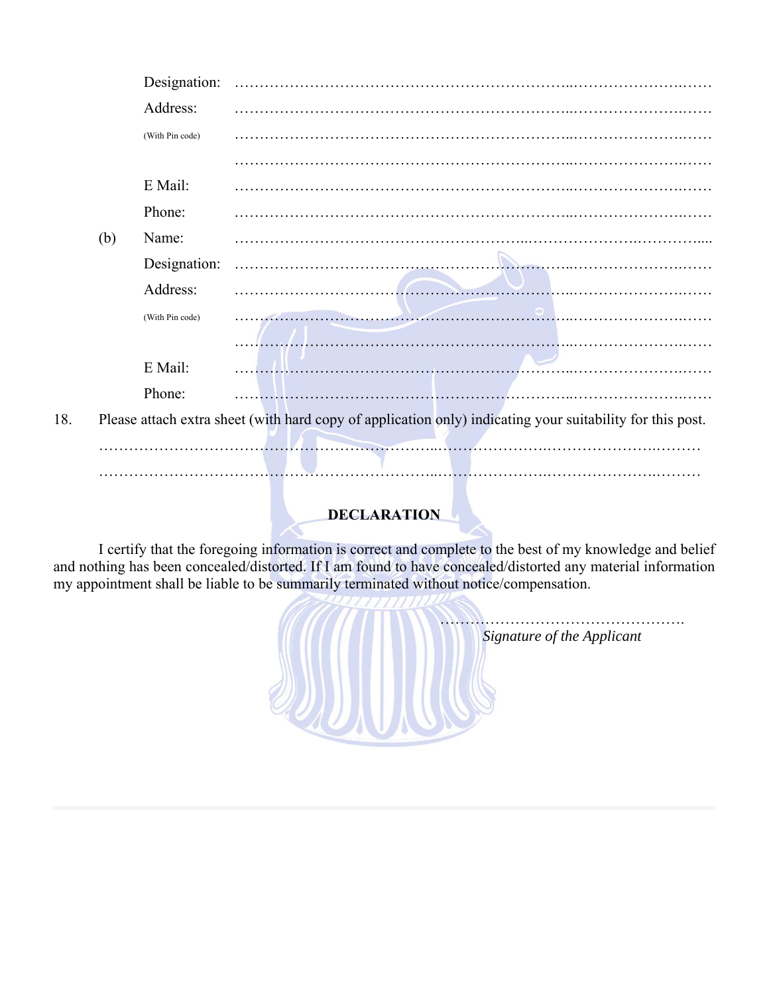|     |     | Designation:    |                                                                                                           |
|-----|-----|-----------------|-----------------------------------------------------------------------------------------------------------|
|     |     | Address:        |                                                                                                           |
|     |     | (With Pin code) |                                                                                                           |
|     |     |                 |                                                                                                           |
|     |     | E Mail:         |                                                                                                           |
|     |     | Phone:          |                                                                                                           |
|     | (b) | Name:           |                                                                                                           |
|     |     | Designation:    |                                                                                                           |
|     |     | Address:        |                                                                                                           |
|     |     | (With Pin code) |                                                                                                           |
|     |     |                 |                                                                                                           |
|     |     | E Mail:         |                                                                                                           |
|     |     | Phone:          |                                                                                                           |
| 18. |     |                 | Please attach extra sheet (with hard copy of application only) indicating your suitability for this post. |
|     |     |                 |                                                                                                           |
|     |     |                 |                                                                                                           |
|     |     |                 |                                                                                                           |
|     |     |                 | <b>DEAL ID ITIAN</b>                                                                                      |

## **DECLARATION**

 I certify that the foregoing information is correct and complete to the best of my knowledge and belief and nothing has been concealed/distorted. If I am found to have concealed/distorted any material information my appointment shall be liable to be summarily terminated without notice/compensation.

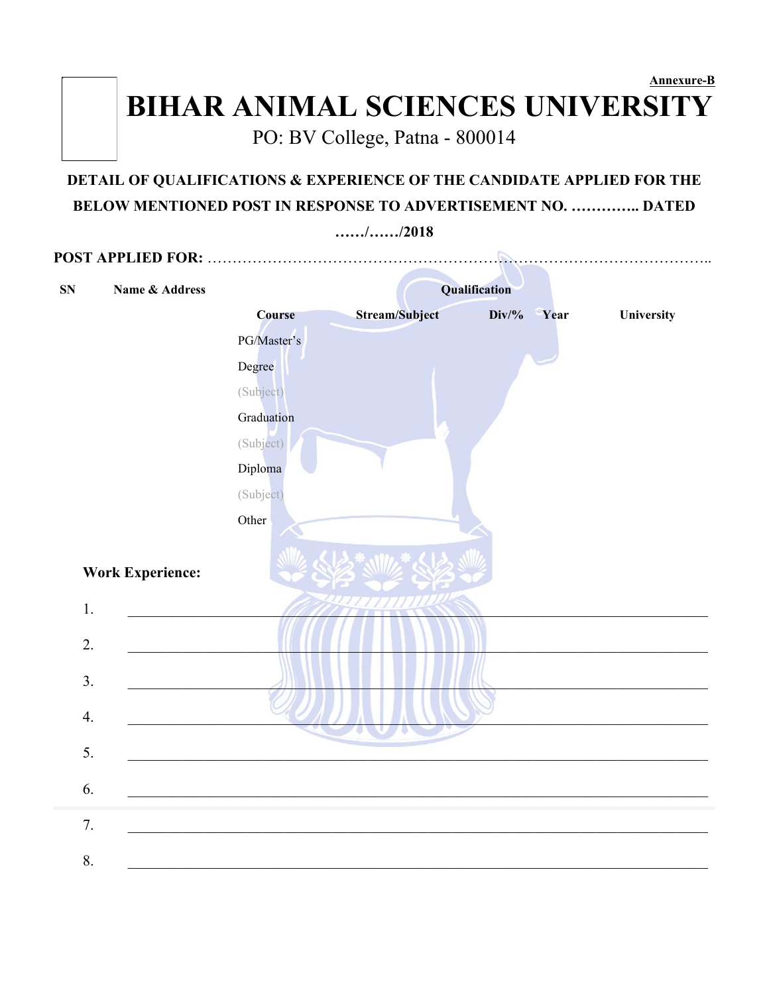## **Annexure-B BIHAR ANIMAL SCIENCES UNIVERSITY**

PO: BV College, Patna - 800014

The picture can't be displayed.

## **DETAIL OF QUALIFICATIONS & EXPERIENCE OF THE CANDIDATE APPLIED FOR THE BELOW MENTIONED POST IN RESPONSE TO ADVERTISEMENT NO. ………….. DATED**

**……/……/2018 POST APPLIED FOR:** ……………………………………………………………………………………….. **SN** Name & Address Qualification **Course Stream/Subject Div/% Year University**  PG/Master's Degree (Subject) Graduation (Subject) Diploma (Subject)  Other **Work Experience:**  1.  $\blacksquare$  $2.$ 3.  $\Box$  $\mathcal{A} \cup \mathcal{A} \cup \mathcal{A} \cup \mathcal{A} \cup \mathcal{A} \cup \mathcal{A} \cup \mathcal{A} \cup \mathcal{A} \cup \mathcal{A} \cup \mathcal{A} \cup \mathcal{A} \cup \mathcal{A} \cup \mathcal{A} \cup \mathcal{A} \cup \mathcal{A} \cup \mathcal{A} \cup \mathcal{A} \cup \mathcal{A} \cup \mathcal{A} \cup \mathcal{A} \cup \mathcal{A} \cup \mathcal{A} \cup \mathcal{A} \cup \mathcal{A} \cup \mathcal{A} \cup \mathcal{A} \cup \mathcal{A} \cup \mathcal{$  $5.$  $6.$  $7.$  $8.$